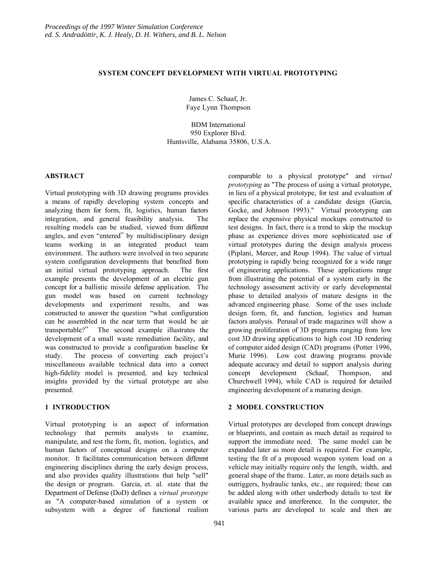## **SYSTEM CONCEPT DEVELOPMENT WITH VIRTUAL PROTOTYPING**

James C. Schaaf, Jr. Faye Lynn Thompson

BDM International 950 Explorer Blvd. Huntsville, Alabama 35806, U.S.A.

## **ABSTRACT**

Virtual prototyping with 3D drawing programs provides a means of rapidly developing system concepts and analyzing them for form, fit, logistics, human factors integration, and general feasibility analysis. The resulting models can be studied, viewed from different angles, and even "entered" by multidisciplinary design teams working in an integrated product team environment. The authors were involved in two separate system configuration developments that benefited from an initial virtual prototyping approach. The first example presents the development of an electric gun concept for a ballistic missile defense application. The gun model was based on current technology developments and experiment results, and was constructed to answer the question "what configuration can be assembled in the near term that would be air transportable?" The second example illustrates the development of a small waste remediation facility, and was constructed to provide a configuration baseline for study. The process of converting each project's miscellaneous available technical data into a correct high-fidelity model is presented, and key technical insights provided by the virtual prototype are also presented.

## **1 INTRODUCTION**

Virtual prototyping is an aspect of information technology that permits analysts to examine, manipulate, and test the form, fit, motion, logistics, and human factors of conceptual designs on a computer monitor. It facilitates communication between different engineering disciplines during the early design process, and also provides quality illustrations that help "sell" the design or program. Garcia, et. al. state that the Department of Defense (DoD) defines a *virtual prototype* as "A computer-based simulation of a system or subsystem with a degree of functional realism

comparable to a physical prototype" and *virtual prototyping* as "The process of using a virtual prototype, in lieu of a physical prototype, for test and evaluation of specific characteristics of a candidate design (Garcia, Gocke, and Johnson 1993)." Virtual prototyping can replace the expensive physical mockups constructed to test designs. In fact, there is a trend to skip the mockup phase as experience drives more sophisticated use of virtual prototypes during the design analysis process (Piplani, Mercer, and Roup 1994). The value of virtual prototyping is rapidly being recognized for a wide range of engineering applications. These applications range from illustrating the potential of a system early in the technology assessment activity or early developmental phase to detailed analysis of mature designs in the advanced engineering phase. Some of the uses include design form, fit, and function, logistics and human factors analysis. Perusal of trade magazines will show a growing proliferation of 3D programs ranging from low cost 3D drawing applications to high cost 3D rendering of computer aided design (CAD) programs (Potter 1996, Murie 1996). Low cost drawing programs provide adequate accuracy and detail to support analysis during concept development (Schaaf, Thompson, and Churchwell 1994), while CAD is required for detailed engineering development of a maturing design.

## **2 MODEL CONSTRUCTION**

Virtual prototypes are developed from concept drawings or blueprints, and contain as much detail as required to support the immediate need. The same model can be expanded later as more detail is required. For example, testing the fit of a proposed weapon system load on a vehicle may initially require only the length, width, and general shape of the frame. Later, as more details such as outriggers, hydraulic tanks, etc., are required; these can be added along with other underbody details to test for available space and interference. In the computer, the various parts are developed to scale and then are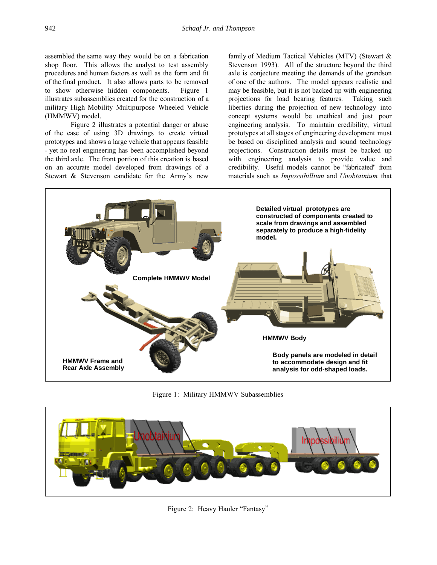assembled the same way they would be on a fabrication shop floor. This allows the analyst to test assembly procedures and human factors as well as the form and fit of the final product. It also allows parts to be removed to show otherwise hidden components. Figure 1 illustrates subassemblies created for the construction of a military High Mobility Multipurpose Wheeled Vehicle (HMMWV) model.

Figure 2 illustrates a potential danger or abuse of the ease of using 3D drawings to create virtual prototypes and shows a large vehicle that appears feasible - yet no real engineering has been accomplished beyond the third axle. The front portion of this creation is based on an accurate model developed from drawings of a Stewart & Stevenson candidate for the Army's new

family of Medium Tactical Vehicles (MTV) (Stewart & Stevenson 1993). All of the structure beyond the third axle is conjecture meeting the demands of the grandson of one of the authors. The model appears realistic and may be feasible, but it is not backed up with engineering projections for load bearing features. Taking such liberties during the projection of new technology into concept systems would be unethical and just poor engineering analysis. To maintain credibility, virtual prototypes at all stages of engineering development must be based on disciplined analysis and sound technology projections. Construction details must be backed up with engineering analysis to provide value and credibility. Useful models cannot be "fabricated" from materials such as *Impossibillium* and *Unobtainium* that



Figure 1: Military HMMWV Subassemblies



Figure 2: Heavy Hauler "Fantasy"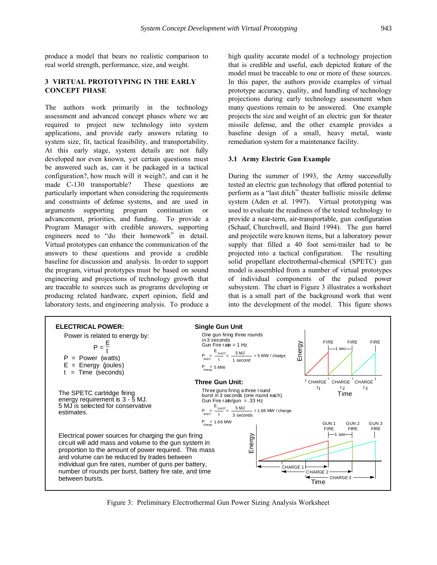produce a model that bears no realistic comparison to real world strength, performance, size, and weight.

# **3 VIRTUAL PROTOTYPING IN THE EARLY CONCEPT PHASE**

The authors work primarily in the technology assessment and advanced concept phases where we are required to project new technology into system applications, and provide early answers relating to system size, fit, tactical feasibility, and transportability. At this early stage, system details are not fully developed nor even known, yet certain questions must be answered such as, can it be packaged in a tactical configuration?, how much will it weigh?, and can it be made C-130 transportable? These questions are particularly important when considering the requirements and constraints of defense systems, and are used in arguments supporting program continuation or advancement, priorities, and funding. To provide a Program Manager with credible answers, supporting engineers need to "do their homework" in detail. Virtual prototypes can enhance the communication of the answers to these questions and provide a credible baseline for discussion and analysis. In order to support the program, virtual prototypes must be based on sound engineering and projections of technology growth that are traceable to sources such as programs developing or producing related hardware, expert opinion, field and laboratory tests, and engineering analysis. To produce a high quality accurate model of a technology projection that is credible and useful, each depicted feature of the model must be traceable to one or more of these sources. In this paper, the authors provide examples of virtual prototype accuracy, quality, and handling of technology projections during early technology assessment when many questions remain to be answered. One example projects the size and weight of an electric gun for theater missile defense, and the other example provides a baseline design of a small, heavy metal, waste remediation system for a maintenance facility.

## **3.1 Army Electric Gun Example**

During the summer of 1993, the Army successfully tested an electric gun technology that offered potential to perform as a "last ditch" theater ballistic missile defense system (Aden et al. 1997). Virtual prototyping was used to evaluate the readiness of the tested technology to provide a near-term, air-transportable, gun configuration (Schaaf, Churchwell, and Baird 1994). The gun barrel and projectile were known items, but a laboratory power supply that filled a 40 foot semi-trailer had to be projected into a tactical configuration. The resulting solid propellant electrothermal-chemical (SPETC) gun model is assembled from a number of virtual prototypes of individual components of the pulsed power subsystem. The chart in Figure 3 illustrates a worksheet that is a small part of the background work that went into the development of the model. This figure shows



Figure 3: Preliminary Electrothermal Gun Power Sizing Analysis Worksheet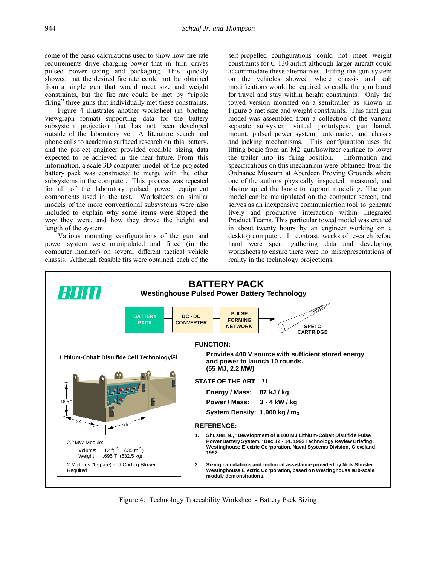some of the basic calculations used to show how fire rate requirements drive charging power that in turn drives pulsed power sizing and packaging. This quickly showed that the desired fire rate could not be obtained from a single gun that would meet size and weight constraints, but the fire rate could be met by "ripple firing" three guns that individually met these constraints.

Figure 4 illustrates another worksheet (in briefing viewgraph format) supporting data for the battery subsystem projection that has not been developed outside of the laboratory yet. A literature search and phone calls to academia surfaced research on this battery, and the project engineer provided credible sizing data expected to be achieved in the near future. From this information, a scale 3D computer model of the projected battery pack was constructed to merge with the other subsystems in the computer. This process was repeated for all of the laboratory pulsed power equipment components used in the test. Worksheets on similar models of the more conventional subsystems were also included to explain why some items were shaped the way they were, and how they drove the height and length of the system.

Various mounting configurations of the gun and power system were manipulated and fitted (in the computer monitor) on several different tactical vehicle chassis. Although feasible fits were obtained, each of the

self-propelled configurations could not meet weight constraints for C-130 airlift although larger aircraft could accommodate these alternatives. Fitting the gun system on the vehicles showed where chassis and cab modifications would be required to cradle the gun barrel for travel and stay within height constraints. Only the towed version mounted on a semitrailer as shown in Figure 5 met size and weight constraints. This final gun model was assembled from a collection of the various separate subsystem virtual prototypes: gun barrel, mount, pulsed power system, autoloader, and chassis and jacking mechanisms. This configuration uses the lifting bogie from an M2 gun/howitzer carriage to lower the trailer into its firing position. Information and specifications on this mechanism were obtained from the Ordnance Museum at Aberdeen Proving Grounds where one of the authors physically inspected, measured, and photographed the bogie to support modeling. The gun model can be manipulated on the computer screen, and serves as an inexpensive communication tool to generate lively and productive interaction within Integrated Product Teams. This particular towed model was created in about twenty hours by an engineer working on a desktop computer. In contrast, weeks of research before hand were spent gathering data and developing worksheets to ensure there were no misrepresentations of reality in the technology projections.



Figure 4: Technology Traceability Worksheet - Battery Pack Sizing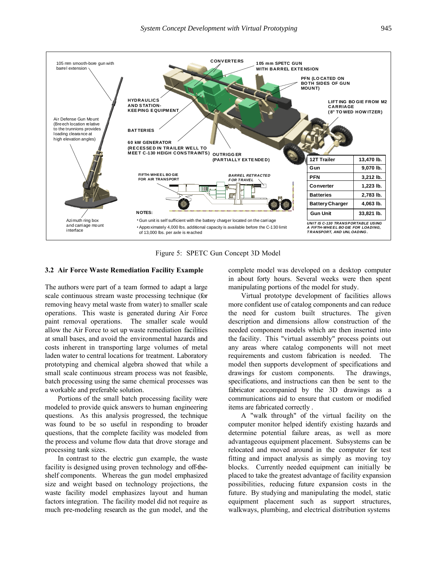

Figure 5: SPETC Gun Concept 3D Model

#### **3.2 Air Force Waste Remediation Facility Example**

The authors were part of a team formed to adapt a large scale continuous stream waste processing technique (for removing heavy metal waste from water) to smaller scale operations. This waste is generated during Air Force paint removal operations. The smaller scale would allow the Air Force to set up waste remediation facilities at small bases, and avoid the environmental hazards and costs inherent in transporting large volumes of metal laden water to central locations for treatment. Laboratory prototyping and chemical algebra showed that while a small scale continuous stream process was not feasible, batch processing using the same chemical processes was a workable and preferable solution.

Portions of the small batch processing facility were modeled to provide quick answers to human engineering questions. As this analysis progressed, the technique was found to be so useful in responding to broader questions, that the complete facility was modeled from the process and volume flow data that drove storage and processing tank sizes.

In contrast to the electric gun example, the waste facility is designed using proven technology and off-theshelf components. Whereas the gun model emphasized size and weight based on technology projections, the waste facility model emphasizes layout and human factors integration. The facility model did not require as much pre-modeling research as the gun model, and the complete model was developed on a desktop computer in about forty hours. Several weeks were then spent manipulating portions of the model for study.

Virtual prototype development of facilities allows more confident use of catalog components and can reduce the need for custom built structures. The given description and dimensions allow construction of the needed component models which are then inserted into the facility. This "virtual assembly" process points out any areas where catalog components will not meet requirements and custom fabrication is needed. The model then supports development of specifications and drawings for custom components. The drawings, specifications, and instructions can then be sent to the fabricator accompanied by the 3D drawings as a communications aid to ensure that custom or modified items are fabricated correctly .

A "walk through" of the virtual facility on the computer monitor helped identify existing hazards and determine potential failure areas, as well as more advantageous equipment placement. Subsystems can be relocated and moved around in the computer for test fitting and impact analysis as simply as moving toy blocks. Currently needed equipment can initially be placed to take the greatest advantage of facility expansion possibilities, reducing future expansion costs in the future. By studying and manipulating the model, static equipment placement such as support structures, walkways, plumbing, and electrical distribution systems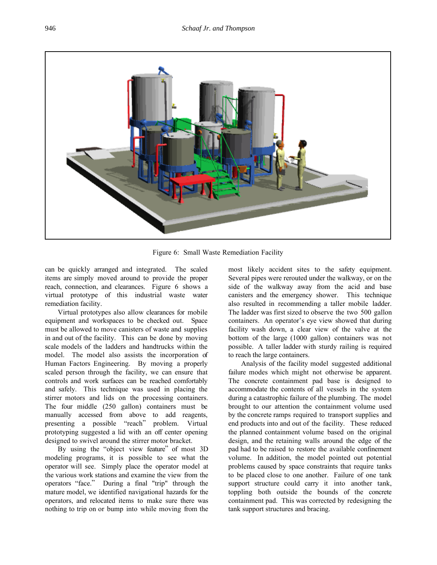

Figure 6: Small Waste Remediation Facility

can be quickly arranged and integrated. The scaled items are simply moved around to provide the proper reach, connection, and clearances. Figure 6 shows a virtual prototype of this industrial waste water remediation facility.

Virtual prototypes also allow clearances for mobile equipment and workspaces to be checked out. Space must be allowed to move canisters of waste and supplies in and out of the facility. This can be done by moving scale models of the ladders and handtrucks within the model. The model also assists the incorporation of Human Factors Engineering. By moving a properly scaled person through the facility, we can ensure that controls and work surfaces can be reached comfortably and safely. This technique was used in placing the stirrer motors and lids on the processing containers. The four middle (250 gallon) containers must be manually accessed from above to add reagents, presenting a possible "reach" problem. Virtual prototyping suggested a lid with an off center opening designed to swivel around the stirrer motor bracket.

By using the "object view feature" of most 3D modeling programs, it is possible to see what the operator will see. Simply place the operator model at the various work stations and examine the view from the operators "face." During a final "trip" through the mature model, we identified navigational hazards for the operators, and relocated items to make sure there was nothing to trip on or bump into while moving from the

most likely accident sites to the safety equipment. Several pipes were rerouted under the walkway, or on the side of the walkway away from the acid and base canisters and the emergency shower. This technique also resulted in recommending a taller mobile ladder. The ladder was first sized to observe the two 500 gallon containers. An operator's eye view showed that during facility wash down, a clear view of the valve at the bottom of the large (1000 gallon) containers was not possible. A taller ladder with sturdy railing is required to reach the large containers.

Analysis of the facility model suggested additional failure modes which might not otherwise be apparent. The concrete containment pad base is designed to accommodate the contents of all vessels in the system during a catastrophic failure of the plumbing. The model brought to our attention the containment volume used by the concrete ramps required to transport supplies and end products into and out of the facility. These reduced the planned containment volume based on the original design, and the retaining walls around the edge of the pad had to be raised to restore the available confinement volume. In addition, the model pointed out potential problems caused by space constraints that require tanks to be placed close to one another. Failure of one tank support structure could carry it into another tank, toppling both outside the bounds of the concrete containment pad. This was corrected by redesigning the tank support structures and bracing.